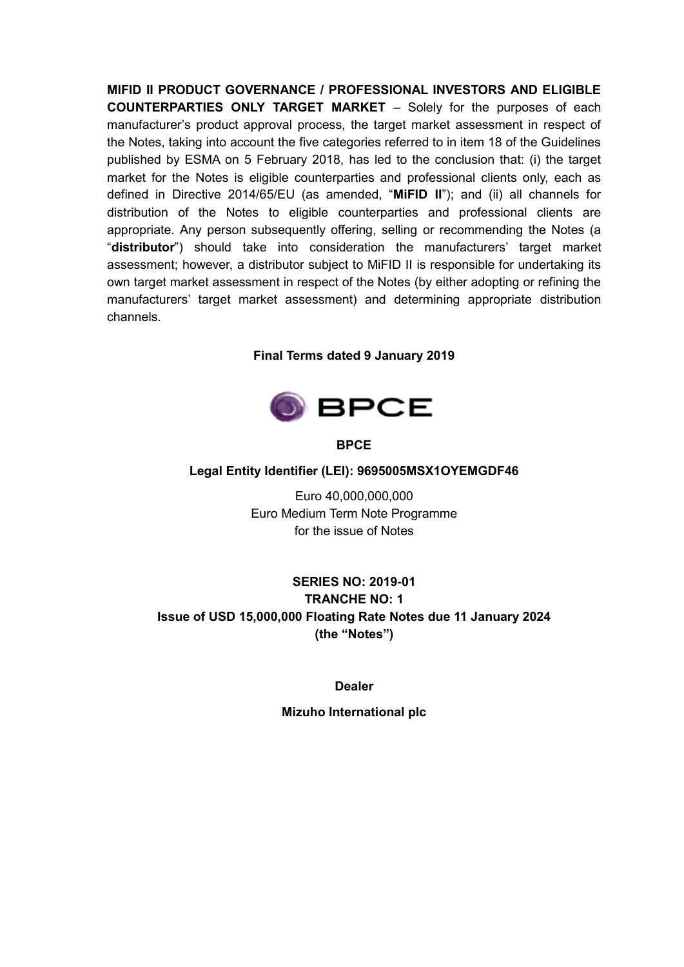**MIFID II PRODUCT GOVERNANCE / PROFESSIONAL INVESTORS AND ELIGIBLE COUNTERPARTIES ONLY TARGET MARKET** – Solely for the purposes of each manufacturer's product approval process, the target market assessment in respect of the Notes, taking into account the five categories referred to in item 18 of the Guidelines published by ESMA on 5 February 2018, has led to the conclusion that: (i) the target market for the Notes is eligible counterparties and professional clients only, each as defined in Directive 2014/65/EU (as amended, "**MiFID II**"); and (ii) all channels for distribution of the Notes to eligible counterparties and professional clients are appropriate. Any person subsequently offering, selling or recommending the Notes (a "**distributor**") should take into consideration the manufacturers' target market assessment; however, a distributor subject to MiFID II is responsible for undertaking its own target market assessment in respect of the Notes (by either adopting or refining the manufacturers' target market assessment) and determining appropriate distribution channels.

### **Final Terms dated 9 January 2019**



**BPCE**

#### **Legal Entity Identifier (LEI): 9695005MSX1OYEMGDF46**

Euro 40,000,000,000 Euro Medium Term Note Programme for the issue of Notes

## **SERIES NO: 2019-01 TRANCHE NO: 1 Issue of USD 15,000,000 Floating Rate Notes due 11 January 2024 (the "Notes")**

**Dealer**

**Mizuho International plc**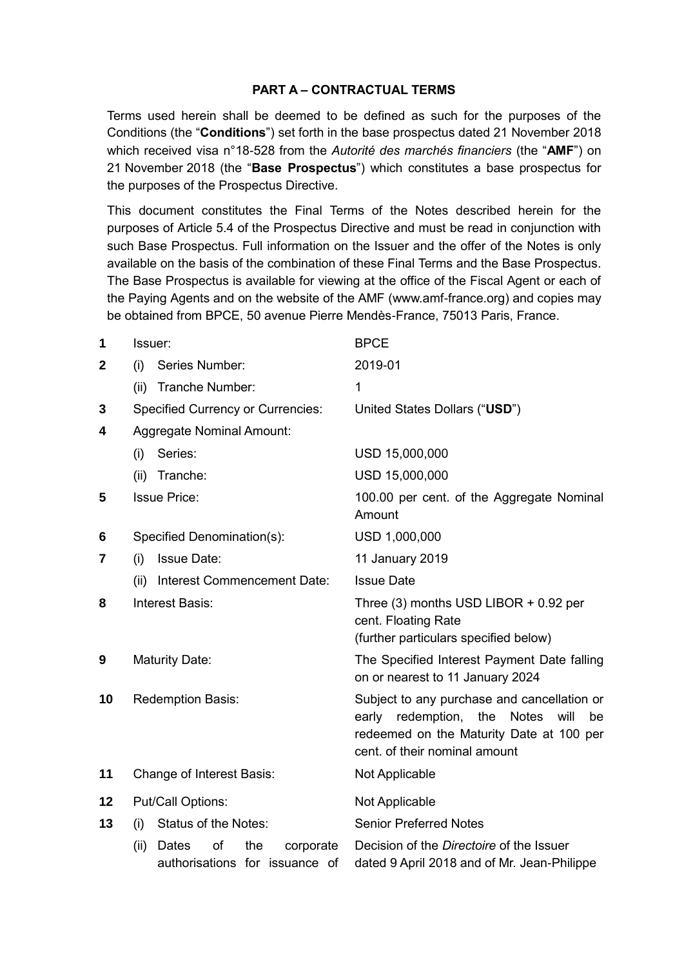#### **PART A – CONTRACTUAL TERMS**

Terms used herein shall be deemed to be defined as such for the purposes of the Conditions (the "**Conditions**") set forth in the base prospectus dated 21 November 2018 which received visa n°18-528 from the *Autorité des marchés financiers* (the "**AMF**") on 21 November 2018 (the "**Base Prospectus**") which constitutes a base prospectus for the purposes of the Prospectus Directive.

This document constitutes the Final Terms of the Notes described herein for the purposes of Article 5.4 of the Prospectus Directive and must be read in conjunction with such Base Prospectus. Full information on the Issuer and the offer of the Notes is only available on the basis of the combination of these Final Terms and the Base Prospectus. The Base Prospectus is available for viewing at the office of the Fiscal Agent or each of the Paying Agents and on the website of the AMF (www.amf-france.org) and copies may be obtained from BPCE, 50 avenue Pierre Mendès-France, 75013 Paris, France.

| 1            | Issuer:                                                                   | <b>BPCE</b>                                                                                                                                                                     |  |
|--------------|---------------------------------------------------------------------------|---------------------------------------------------------------------------------------------------------------------------------------------------------------------------------|--|
| $\mathbf{2}$ | (i)<br>Series Number:                                                     | 2019-01                                                                                                                                                                         |  |
|              | <b>Tranche Number:</b><br>(ii)                                            | 1                                                                                                                                                                               |  |
| 3            | <b>Specified Currency or Currencies:</b>                                  | United States Dollars ("USD")                                                                                                                                                   |  |
| 4            | <b>Aggregate Nominal Amount:</b>                                          |                                                                                                                                                                                 |  |
|              | Series:<br>(i)                                                            | USD 15,000,000                                                                                                                                                                  |  |
|              | Tranche:<br>(ii)                                                          | USD 15,000,000                                                                                                                                                                  |  |
| 5            | <b>Issue Price:</b>                                                       | 100.00 per cent. of the Aggregate Nominal<br>Amount                                                                                                                             |  |
| 6            | Specified Denomination(s):                                                | USD 1,000,000                                                                                                                                                                   |  |
| 7            | <b>Issue Date:</b><br>(i)                                                 | 11 January 2019                                                                                                                                                                 |  |
|              | Interest Commencement Date:<br>(ii)                                       | <b>Issue Date</b>                                                                                                                                                               |  |
| 8            | Interest Basis:                                                           | Three (3) months USD LIBOR + 0.92 per<br>cent. Floating Rate<br>(further particulars specified below)                                                                           |  |
| 9            | <b>Maturity Date:</b>                                                     | The Specified Interest Payment Date falling<br>on or nearest to 11 January 2024                                                                                                 |  |
| 10           | <b>Redemption Basis:</b>                                                  | Subject to any purchase and cancellation or<br>early redemption, the<br><b>Notes</b><br>will<br>be<br>redeemed on the Maturity Date at 100 per<br>cent. of their nominal amount |  |
| 11           | Change of Interest Basis:                                                 | Not Applicable                                                                                                                                                                  |  |
| 12           | <b>Put/Call Options:</b>                                                  | Not Applicable                                                                                                                                                                  |  |
| 13           | <b>Status of the Notes:</b><br>(i)                                        | <b>Senior Preferred Notes</b>                                                                                                                                                   |  |
|              | of<br>the<br>Dates<br>(ii)<br>corporate<br>authorisations for issuance of | Decision of the <i>Directoire</i> of the Issuer<br>dated 9 April 2018 and of Mr. Jean-Philippe                                                                                  |  |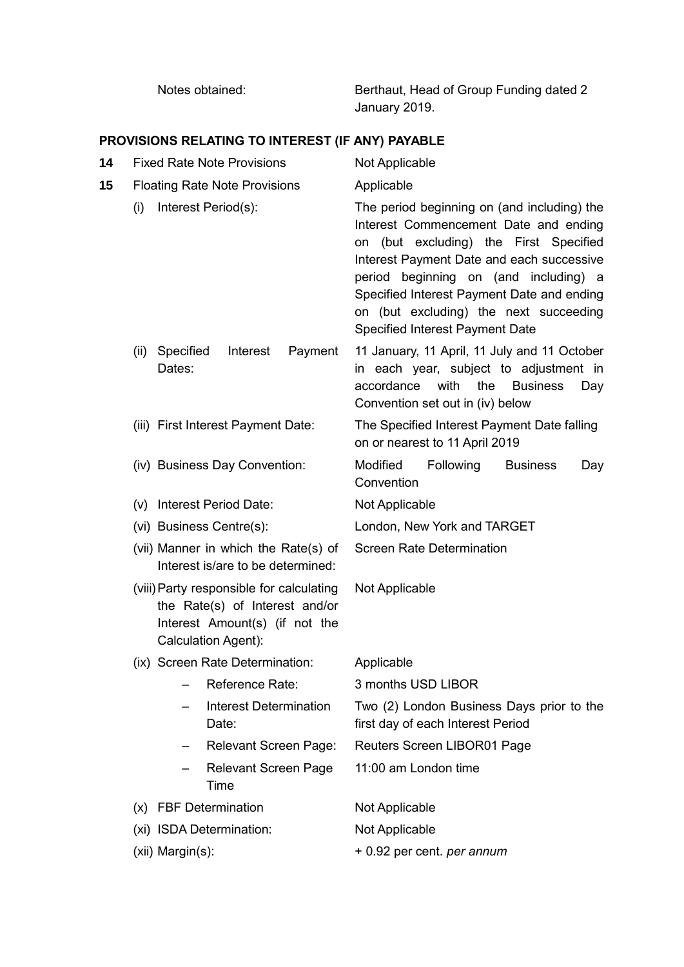Notes obtained: Berthaut, Head of Group Funding dated 2 January 2019.

# **PROVISIONS RELATING TO INTEREST (IF ANY) PAYABLE**

| 14 |                                              | <b>Fixed Rate Note Provisions</b>                                         |                                                                                                                                                                                                                                                                                                                                                        |                | Not Applicable                   |                                                 |                                                                                                           |     |
|----|----------------------------------------------|---------------------------------------------------------------------------|--------------------------------------------------------------------------------------------------------------------------------------------------------------------------------------------------------------------------------------------------------------------------------------------------------------------------------------------------------|----------------|----------------------------------|-------------------------------------------------|-----------------------------------------------------------------------------------------------------------|-----|
| 15 | <b>Floating Rate Note Provisions</b>         |                                                                           |                                                                                                                                                                                                                                                                                                                                                        | Applicable     |                                  |                                                 |                                                                                                           |     |
|    | Interest Period(s):<br>(i)                   |                                                                           | The period beginning on (and including) the<br>Interest Commencement Date and ending<br>on (but excluding) the First Specified<br>Interest Payment Date and each successive<br>period beginning on (and including) a<br>Specified Interest Payment Date and ending<br>on (but excluding) the next succeeding<br><b>Specified Interest Payment Date</b> |                |                                  |                                                 |                                                                                                           |     |
|    | (ii)                                         | Specified<br>Dates:                                                       | Interest                                                                                                                                                                                                                                                                                                                                               | Payment        | accordance                       | with<br>the<br>Convention set out in (iv) below | 11 January, 11 April, 11 July and 11 October<br>in each year, subject to adjustment in<br><b>Business</b> | Day |
|    |                                              |                                                                           | (iii) First Interest Payment Date:                                                                                                                                                                                                                                                                                                                     |                |                                  | on or nearest to 11 April 2019                  | The Specified Interest Payment Date falling                                                               |     |
|    |                                              | (iv) Business Day Convention:                                             |                                                                                                                                                                                                                                                                                                                                                        |                | Modified<br>Convention           | Following                                       | <b>Business</b>                                                                                           | Day |
|    |                                              | (v) Interest Period Date:                                                 |                                                                                                                                                                                                                                                                                                                                                        |                | Not Applicable                   |                                                 |                                                                                                           |     |
|    |                                              | (vi) Business Centre(s):                                                  |                                                                                                                                                                                                                                                                                                                                                        |                | London, New York and TARGET      |                                                 |                                                                                                           |     |
|    |                                              | (vii) Manner in which the Rate(s) of<br>Interest is/are to be determined: |                                                                                                                                                                                                                                                                                                                                                        |                | <b>Screen Rate Determination</b> |                                                 |                                                                                                           |     |
|    |                                              | Calculation Agent):                                                       | (viii) Party responsible for calculating<br>the Rate(s) of Interest and/or<br>Interest Amount(s) (if not the                                                                                                                                                                                                                                           |                | Not Applicable                   |                                                 |                                                                                                           |     |
|    |                                              |                                                                           | (ix) Screen Rate Determination:                                                                                                                                                                                                                                                                                                                        |                | Applicable                       |                                                 |                                                                                                           |     |
|    |                                              |                                                                           | Reference Rate:                                                                                                                                                                                                                                                                                                                                        |                | 3 months USD LIBOR               |                                                 |                                                                                                           |     |
|    |                                              |                                                                           | <b>Interest Determination</b><br>Date:                                                                                                                                                                                                                                                                                                                 |                |                                  | first day of each Interest Period               | Two (2) London Business Days prior to the                                                                 |     |
|    |                                              |                                                                           | <b>Relevant Screen Page:</b>                                                                                                                                                                                                                                                                                                                           |                |                                  | Reuters Screen LIBOR01 Page                     |                                                                                                           |     |
|    |                                              |                                                                           | <b>Relevant Screen Page</b><br>Time                                                                                                                                                                                                                                                                                                                    |                | 11:00 am London time             |                                                 |                                                                                                           |     |
|    |                                              | (x) FBF Determination                                                     |                                                                                                                                                                                                                                                                                                                                                        |                | Not Applicable                   |                                                 |                                                                                                           |     |
|    | (xi) ISDA Determination:<br>(xii) Margin(s): |                                                                           |                                                                                                                                                                                                                                                                                                                                                        | Not Applicable |                                  |                                                 |                                                                                                           |     |
|    |                                              |                                                                           |                                                                                                                                                                                                                                                                                                                                                        |                | + 0.92 per cent. per annum       |                                                 |                                                                                                           |     |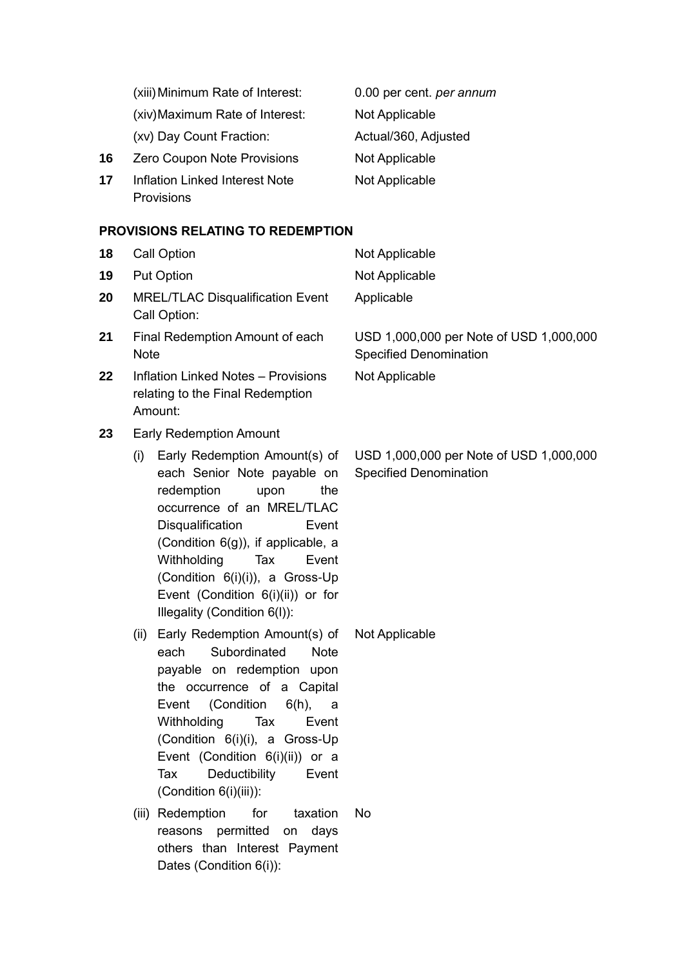|    | (xiii) Minimum Rate of Interest:      | 0.00 per cent. per annum |
|----|---------------------------------------|--------------------------|
|    | (xiv) Maximum Rate of Interest:       | Not Applicable           |
|    | (xv) Day Count Fraction:              | Actual/360, Adjusted     |
| 16 | Zero Coupon Note Provisions           | Not Applicable           |
| 17 | <b>Inflation Linked Interest Note</b> | Not Applicable           |
|    | Provisions                            |                          |

#### **PROVISIONS RELATING TO REDEMPTION**

| 18 | <b>Call Option</b>                                                                                                                                                                                                                                                                                                                             | Not Applicable                                                           |  |
|----|------------------------------------------------------------------------------------------------------------------------------------------------------------------------------------------------------------------------------------------------------------------------------------------------------------------------------------------------|--------------------------------------------------------------------------|--|
| 19 | <b>Put Option</b>                                                                                                                                                                                                                                                                                                                              | Not Applicable                                                           |  |
| 20 | <b>MREL/TLAC Disqualification Event</b><br>Call Option:                                                                                                                                                                                                                                                                                        | Applicable                                                               |  |
| 21 | Final Redemption Amount of each<br><b>Note</b>                                                                                                                                                                                                                                                                                                 | USD 1,000,000 per Note of USD 1,000,000<br><b>Specified Denomination</b> |  |
| 22 | <b>Inflation Linked Notes - Provisions</b><br>relating to the Final Redemption<br>Amount:                                                                                                                                                                                                                                                      | Not Applicable                                                           |  |
| 23 | <b>Early Redemption Amount</b>                                                                                                                                                                                                                                                                                                                 |                                                                          |  |
|    | Early Redemption Amount(s) of<br>(i)<br>each Senior Note payable on<br>redemption<br>the<br>upon<br>occurrence of an MREL/TLAC<br>Disqualification<br>Event<br>(Condition $6(g)$ ), if applicable, a<br>Withholding<br>Tax<br>Event<br>(Condition 6(i)(i)), a Gross-Up<br>Event (Condition $6(i)(ii)$ ) or for<br>Illegality (Condition 6(I)): | USD 1,000,000 per Note of USD 1,000,000<br><b>Specified Denomination</b> |  |
|    | Early Redemption Amount(s) of<br>(ii)<br>Subordinated<br><b>Note</b><br>each<br>payable on redemption upon                                                                                                                                                                                                                                     | Not Applicable                                                           |  |

the occurrence of a Capital Event (Condition 6(h), a Withholding Tax Event (Condition 6(i)(i), a Gross-Up Event (Condition  $6(i)(ii)$ ) or a Tax Deductibility Event (Condition 6(i)(iii)):

(iii) Redemption for taxation reasons permitted on days others than Interest Payment Dates (Condition 6(i)): No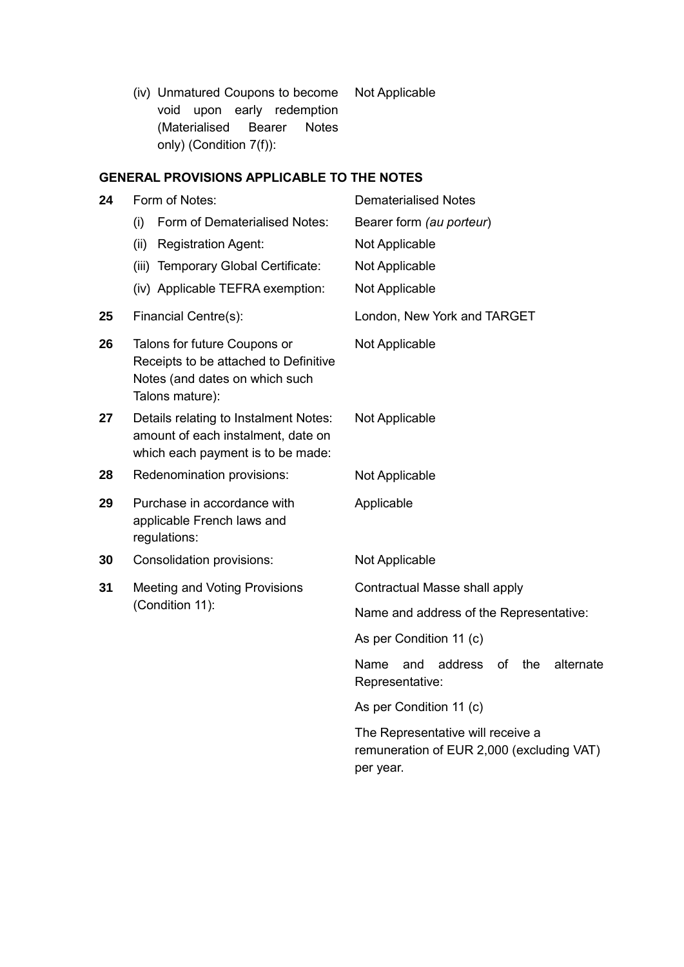(iv) Unmatured Coupons to become Not Applicable void upon early redemption (Materialised Bearer Notes only) (Condition 7(f)):

## **GENERAL PROVISIONS APPLICABLE TO THE NOTES**

| 24 | Form of Notes:                                                                                                             | <b>Dematerialised Notes</b>                                                                 |  |  |
|----|----------------------------------------------------------------------------------------------------------------------------|---------------------------------------------------------------------------------------------|--|--|
|    | Form of Dematerialised Notes:<br>(i)                                                                                       | Bearer form (au porteur)                                                                    |  |  |
|    | (ii)<br><b>Registration Agent:</b>                                                                                         | Not Applicable                                                                              |  |  |
|    | Temporary Global Certificate:<br>(iii)                                                                                     | Not Applicable                                                                              |  |  |
|    | (iv) Applicable TEFRA exemption:                                                                                           | Not Applicable                                                                              |  |  |
| 25 | Financial Centre(s):                                                                                                       | London, New York and TARGET                                                                 |  |  |
| 26 | Talons for future Coupons or<br>Receipts to be attached to Definitive<br>Notes (and dates on which such<br>Talons mature): | Not Applicable                                                                              |  |  |
| 27 | Details relating to Instalment Notes:<br>amount of each instalment, date on<br>which each payment is to be made:           | Not Applicable                                                                              |  |  |
| 28 | Redenomination provisions:                                                                                                 | Not Applicable                                                                              |  |  |
| 29 | Purchase in accordance with<br>applicable French laws and<br>regulations:                                                  | Applicable                                                                                  |  |  |
| 30 | Consolidation provisions:                                                                                                  | Not Applicable                                                                              |  |  |
| 31 | Meeting and Voting Provisions                                                                                              | Contractual Masse shall apply                                                               |  |  |
|    | (Condition 11):                                                                                                            | Name and address of the Representative:                                                     |  |  |
|    |                                                                                                                            | As per Condition 11 (c)                                                                     |  |  |
|    |                                                                                                                            | and<br>address<br>of<br>the<br>alternate<br>Name<br>Representative:                         |  |  |
|    |                                                                                                                            | As per Condition 11 (c)                                                                     |  |  |
|    |                                                                                                                            | The Representative will receive a<br>remuneration of EUR 2,000 (excluding VAT)<br>per year. |  |  |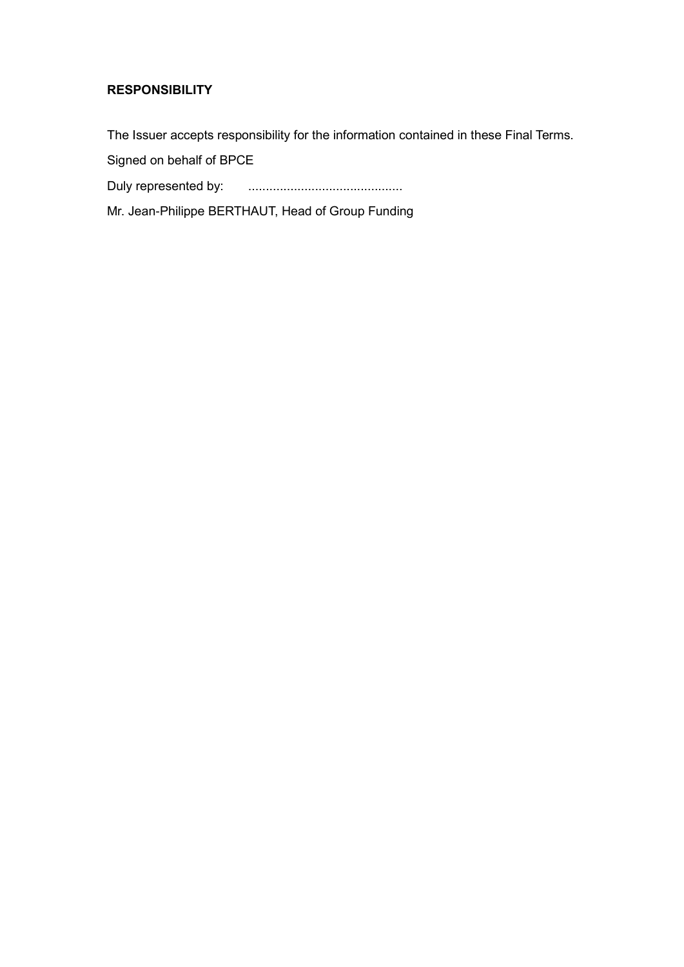## **RESPONSIBILITY**

The Issuer accepts responsibility for the information contained in these Final Terms.

Signed on behalf of BPCE

Duly represented by: ............................................

Mr. Jean-Philippe BERTHAUT, Head of Group Funding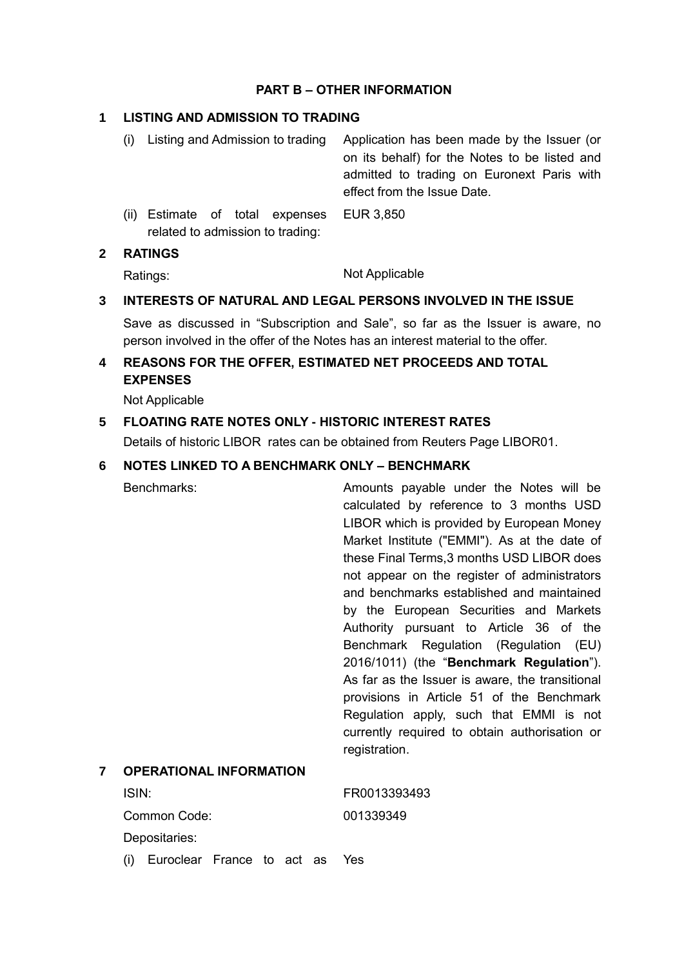#### **PART B – OTHER INFORMATION**

#### **1 LISTING AND ADMISSION TO TRADING**

- (i) Listing and Admission to trading Application has been made by the Issuer (or on its behalf) for the Notes to be listed and admitted to trading on Euronext Paris with effect from the Issue Date. (ii) Estimate of total expenses EUR 3,850
- related to admission to trading:

#### **2 RATINGS**

Ratings: Not Applicable

## **3 INTERESTS OF NATURAL AND LEGAL PERSONS INVOLVED IN THE ISSUE**

Save as discussed in "Subscription and Sale", so far as the Issuer is aware, no person involved in the offer of the Notes has an interest material to the offer.

## **4 REASONS FOR THE OFFER, ESTIMATED NET PROCEEDS AND TOTAL EXPENSES**

Not Applicable

### **5 FLOATING RATE NOTES ONLY - HISTORIC INTEREST RATES**

Details of historic LIBOR rates can be obtained from Reuters Page LIBOR01.

#### **6 NOTES LINKED TO A BENCHMARK ONLY – BENCHMARK**

Benchmarks: Amounts payable under the Notes will be calculated by reference to 3 months USD LIBOR which is provided by European Money Market Institute ("EMMI"). As at the date of these Final Terms,3 months USD LIBOR does not appear on the register of administrators and benchmarks established and maintained by the European Securities and Markets Authority pursuant to Article 36 of the Benchmark Regulation (Regulation (EU) 2016/1011) (the "**Benchmark Regulation**"). As far as the Issuer is aware, the transitional provisions in Article 51 of the Benchmark Regulation apply, such that EMMI is not currently required to obtain authorisation or registration. **7 OPERATIONAL INFORMATION** ISIN: FR0013393493

Common Code: 001339349

Depositaries:

(i) Euroclear France to act as Yes